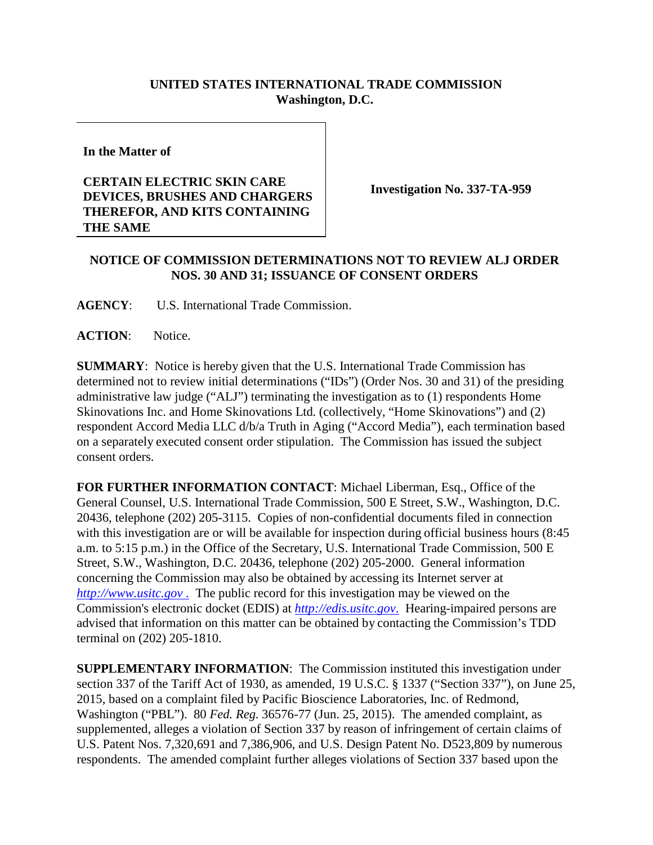## **UNITED STATES INTERNATIONAL TRADE COMMISSION Washington, D.C.**

**In the Matter of**

## **CERTAIN ELECTRIC SKIN CARE DEVICES, BRUSHES AND CHARGERS THEREFOR, AND KITS CONTAINING THE SAME**

**Investigation No. 337-TA-959**

## **NOTICE OF COMMISSION DETERMINATIONS NOT TO REVIEW ALJ ORDER NOS. 30 AND 31; ISSUANCE OF CONSENT ORDERS**

**AGENCY**: U.S. International Trade Commission.

**ACTION**: Notice.

**SUMMARY**: Notice is hereby given that the U.S. International Trade Commission has determined not to review initial determinations ("IDs") (Order Nos. 30 and 31) of the presiding administrative law judge ("ALJ") terminating the investigation as to (1) respondents Home Skinovations Inc. and Home Skinovations Ltd. (collectively, "Home Skinovations") and (2) respondent Accord Media LLC d/b/a Truth in Aging ("Accord Media"), each termination based on a separately executed consent order stipulation. The Commission has issued the subject consent orders.

**FOR FURTHER INFORMATION CONTACT**: Michael Liberman, Esq., Office of the General Counsel, U.S. International Trade Commission, 500 E Street, S.W., Washington, D.C. 20436, telephone (202) 205-3115. Copies of non-confidential documents filed in connection with this investigation are or will be available for inspection during official business hours (8:45 a.m. to 5:15 p.m.) in the Office of the Secretary, U.S. International Trade Commission, 500 E Street, S.W., Washington, D.C. 20436, telephone (202) 205-2000. General information concerning the Commission may also be obtained by accessing its Internet server at *http://www.usitc.gov* . The public record for this investigation may be viewed on the Commission's electronic docket (EDIS) at *[http://edis.usitc.gov](http://edis.usitc.gov./)*. Hearing-impaired persons are advised that information on this matter can be obtained by contacting the Commission's TDD terminal on (202) 205-1810.

**SUPPLEMENTARY INFORMATION**: The Commission instituted this investigation under section 337 of the Tariff Act of 1930, as amended, 19 U.S.C. § 1337 ("Section 337"), on June 25, 2015, based on a complaint filed by Pacific Bioscience Laboratories, Inc. of Redmond, Washington ("PBL"). 80 *Fed. Reg.* 36576-77 (Jun. 25, 2015). The amended complaint, as supplemented, alleges a violation of Section 337 by reason of infringement of certain claims of U.S. Patent Nos. 7,320,691 and 7,386,906, and U.S. Design Patent No. D523,809 by numerous respondents. The amended complaint further alleges violations of Section 337 based upon the